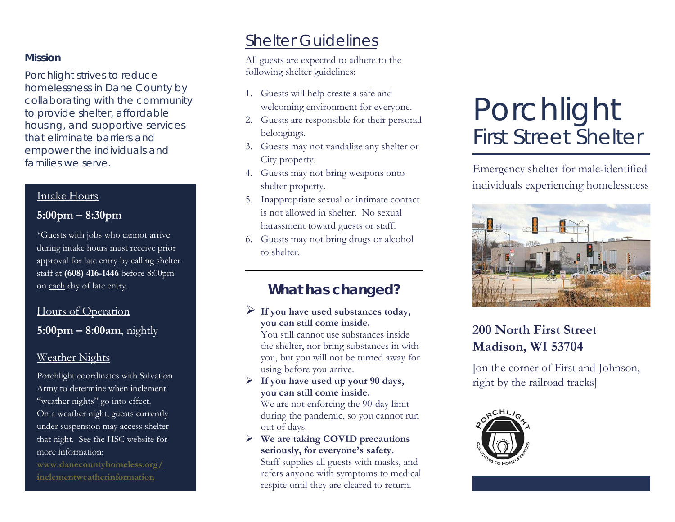### **Mission**

Porchlight strives to reduce homelessness in Dane County by collaborating with the community to provide shelter, affordable housing, and supportive services that eliminate barriers and empower the individuals and families we serve.

### Intake Hours

## **5:00pm – 8:30pm**

\*Guests with jobs who cannot arrive during intake hours must receive prior approval for late entry by calling shelter staff at **(608) 416-1446** before 8:00pm on each day of late entry.

## Hours of Operation

**5:00pm – 8:00am**, nightly

## Weather Nights

Porchlight coordinates with Salvation Army to determine when inclement "weather nights" go into effect. On a weather night, guests currently under suspension may access shelter that night. See the HSC website for more information:

**[www.danecountyhomeless.org/](https://www.danecountyhomeless.org/inclementweatherinformation) [inclementweatherinformation](https://www.danecountyhomeless.org/inclementweatherinformation)**

## Shelter Guidelines

All guests are expected to adhere to the following shelter guidelines:

- 1. Guests will help create a safe and welcoming environment for everyone.
- 2. Guests are responsible for their personal belongings.
- 3. Guests may not vandalize any shelter or City property.
- 4. Guests may not bring weapons onto shelter property.
- 5. Inappropriate sexual or intimate contact is not allowed in shelter. No sexual harassment toward guests or staff.
- 6. Guests may not bring drugs or alcohol to shelter.

## **What has changed?**

### **If you have used substances today, you can still come inside.**

You still cannot use substances inside the shelter, nor bring substances in with you, but you will not be turned away for using before you arrive.

 **If you have used up your 90 days, you can still come inside.**

We are not enforcing the 90-day limit during the pandemic, so you cannot run out of days.

 **We are taking COVID precautions seriously, for everyone's safety.**

Staff supplies all guests with masks, and refers anyone with symptoms to medical respite until they are cleared to return.

# Porchlight First Street Shelter

Emergency shelter for male-identified individuals experiencing homelessness



## **200 North First Street Madison, WI 53704**

[on the corner of First and Johnson, right by the railroad tracks]